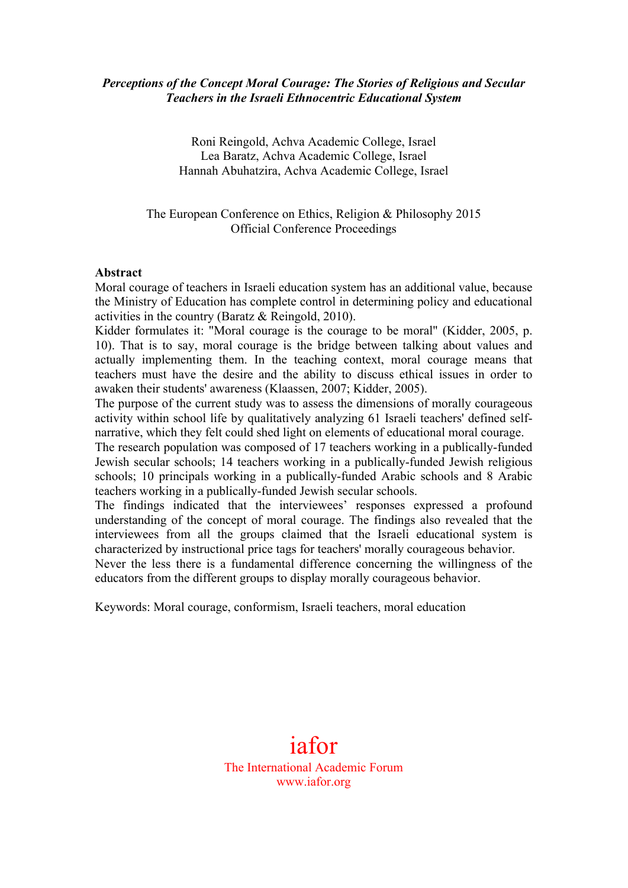### *Perceptions of the Concept Moral Courage: The Stories of Religious and Secular Teachers in the Israeli Ethnocentric Educational System*

Roni Reingold, Achva Academic College, Israel Lea Baratz, Achva Academic College, Israel Hannah Abuhatzira, Achva Academic College, Israel

The European Conference on Ethics, Religion & Philosophy 2015 Official Conference Proceedings

#### **Abstract**

Moral courage of teachers in Israeli education system has an additional value, because the Ministry of Education has complete control in determining policy and educational activities in the country (Baratz & Reingold, 2010).

Kidder formulates it: "Moral courage is the courage to be moral" (Kidder, 2005, p. 10). That is to say, moral courage is the bridge between talking about values and actually implementing them. In the teaching context, moral courage means that teachers must have the desire and the ability to discuss ethical issues in order to awaken their students' awareness (Klaassen, 2007; Kidder, 2005).

The purpose of the current study was to assess the dimensions of morally courageous activity within school life by qualitatively analyzing 61 Israeli teachers' defined selfnarrative, which they felt could shed light on elements of educational moral courage.

The research population was composed of 17 teachers working in a publically-funded Jewish secular schools; 14 teachers working in a publically-funded Jewish religious schools; 10 principals working in a publically-funded Arabic schools and 8 Arabic teachers working in a publically-funded Jewish secular schools.

The findings indicated that the interviewees' responses expressed a profound understanding of the concept of moral courage. The findings also revealed that the interviewees from all the groups claimed that the Israeli educational system is characterized by instructional price tags for teachers' morally courageous behavior.

Never the less there is a fundamental difference concerning the willingness of the educators from the different groups to display morally courageous behavior.

Keywords: Moral courage, conformism, Israeli teachers, moral education

iafor The International Academic Forum www.iafor.org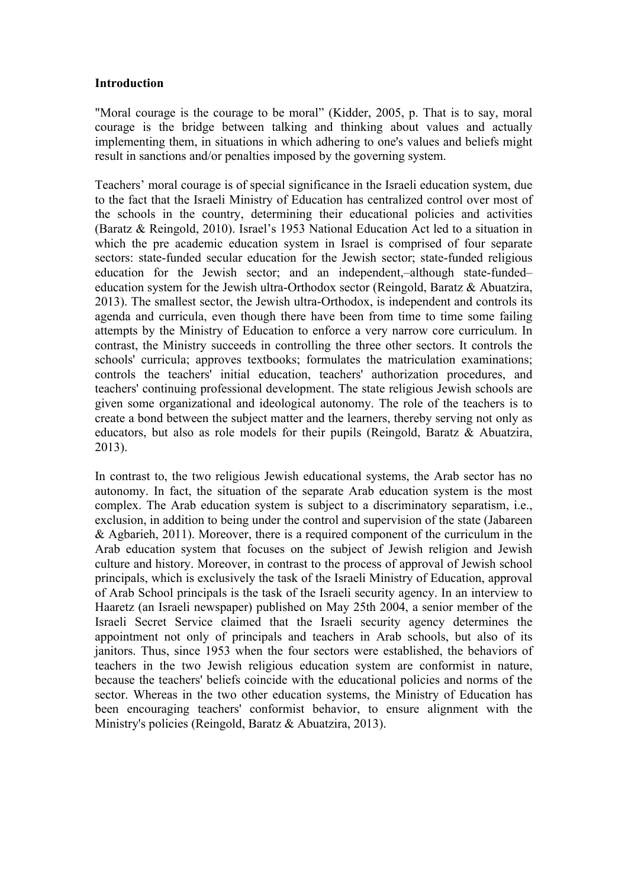### **Introduction**

"Moral courage is the courage to be moral" (Kidder, 2005, p. That is to say, moral courage is the bridge between talking and thinking about values and actually implementing them, in situations in which adhering to one's values and beliefs might result in sanctions and/or penalties imposed by the governing system.

Teachers' moral courage is of special significance in the Israeli education system, due to the fact that the Israeli Ministry of Education has centralized control over most of the schools in the country, determining their educational policies and activities (Baratz & Reingold, 2010). Israel's 1953 National Education Act led to a situation in which the pre academic education system in Israel is comprised of four separate sectors: state-funded secular education for the Jewish sector; state-funded religious education for the Jewish sector; and an independent,–although state-funded– education system for the Jewish ultra-Orthodox sector (Reingold, Baratz & Abuatzira, 2013). The smallest sector, the Jewish ultra-Orthodox, is independent and controls its agenda and curricula, even though there have been from time to time some failing attempts by the Ministry of Education to enforce a very narrow core curriculum. In contrast, the Ministry succeeds in controlling the three other sectors. It controls the schools' curricula; approves textbooks; formulates the matriculation examinations; controls the teachers' initial education, teachers' authorization procedures, and teachers' continuing professional development. The state religious Jewish schools are given some organizational and ideological autonomy. The role of the teachers is to create a bond between the subject matter and the learners, thereby serving not only as educators, but also as role models for their pupils (Reingold, Baratz & Abuatzira, 2013).

In contrast to, the two religious Jewish educational systems, the Arab sector has no autonomy. In fact, the situation of the separate Arab education system is the most complex. The Arab education system is subject to a discriminatory separatism, i.e., exclusion, in addition to being under the control and supervision of the state (Jabareen & Agbarieh, 2011). Moreover, there is a required component of the curriculum in the Arab education system that focuses on the subject of Jewish religion and Jewish culture and history. Moreover, in contrast to the process of approval of Jewish school principals, which is exclusively the task of the Israeli Ministry of Education, approval of Arab School principals is the task of the Israeli security agency. In an interview to Haaretz (an Israeli newspaper) published on May 25th 2004, a senior member of the Israeli Secret Service claimed that the Israeli security agency determines the appointment not only of principals and teachers in Arab schools, but also of its janitors. Thus, since 1953 when the four sectors were established, the behaviors of teachers in the two Jewish religious education system are conformist in nature, because the teachers' beliefs coincide with the educational policies and norms of the sector. Whereas in the two other education systems, the Ministry of Education has been encouraging teachers' conformist behavior, to ensure alignment with the Ministry's policies (Reingold, Baratz & Abuatzira, 2013).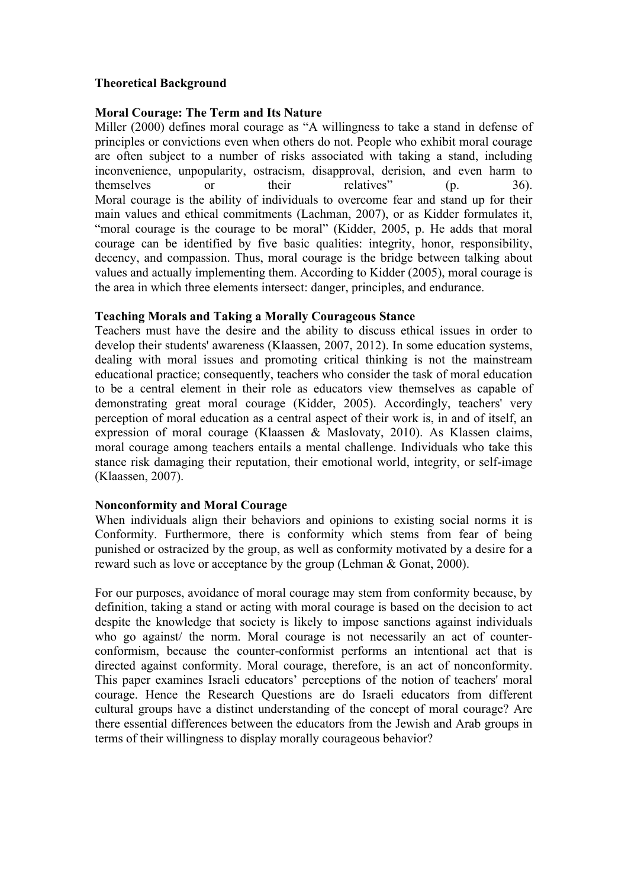# **Theoretical Background**

#### **Moral Courage: The Term and Its Nature**

Miller (2000) defines moral courage as "A willingness to take a stand in defense of principles or convictions even when others do not. People who exhibit moral courage are often subject to a number of risks associated with taking a stand, including inconvenience, unpopularity, ostracism, disapproval, derision, and even harm to themselves or their relatives" (p. 36). Moral courage is the ability of individuals to overcome fear and stand up for their main values and ethical commitments (Lachman, 2007), or as Kidder formulates it, "moral courage is the courage to be moral" (Kidder, 2005, p. He adds that moral courage can be identified by five basic qualities: integrity, honor, responsibility, decency, and compassion. Thus, moral courage is the bridge between talking about values and actually implementing them. According to Kidder (2005), moral courage is the area in which three elements intersect: danger, principles, and endurance.

### **Teaching Morals and Taking a Morally Courageous Stance**

Teachers must have the desire and the ability to discuss ethical issues in order to develop their students' awareness (Klaassen, 2007, 2012). In some education systems, dealing with moral issues and promoting critical thinking is not the mainstream educational practice; consequently, teachers who consider the task of moral education to be a central element in their role as educators view themselves as capable of demonstrating great moral courage (Kidder, 2005). Accordingly, teachers' very perception of moral education as a central aspect of their work is, in and of itself, an expression of moral courage (Klaassen & Maslovaty, 2010). As Klassen claims, moral courage among teachers entails a mental challenge. Individuals who take this stance risk damaging their reputation, their emotional world, integrity, or self-image (Klaassen, 2007).

### **Nonconformity and Moral Courage**

When individuals align their behaviors and opinions to existing social norms it is Conformity. Furthermore, there is conformity which stems from fear of being punished or ostracized by the group, as well as conformity motivated by a desire for a reward such as love or acceptance by the group (Lehman & Gonat, 2000).

For our purposes, avoidance of moral courage may stem from conformity because, by definition, taking a stand or acting with moral courage is based on the decision to act despite the knowledge that society is likely to impose sanctions against individuals who go against/ the norm. Moral courage is not necessarily an act of counterconformism, because the counter-conformist performs an intentional act that is directed against conformity. Moral courage, therefore, is an act of nonconformity. This paper examines Israeli educators' perceptions of the notion of teachers' moral courage. Hence the Research Questions are do Israeli educators from different cultural groups have a distinct understanding of the concept of moral courage? Are there essential differences between the educators from the Jewish and Arab groups in terms of their willingness to display morally courageous behavior?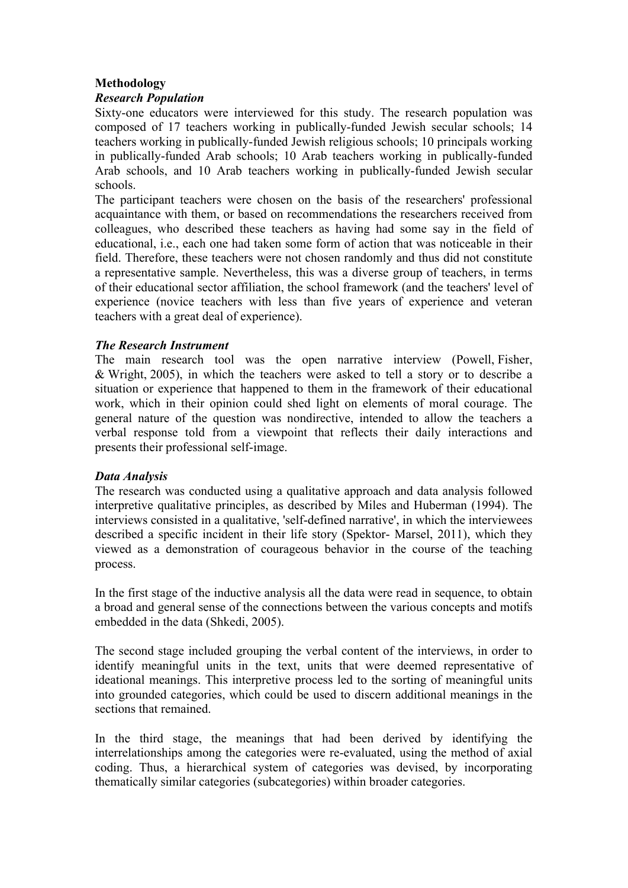# **Methodology**

### *Research Population*

Sixty-one educators were interviewed for this study. The research population was composed of 17 teachers working in publically-funded Jewish secular schools; 14 teachers working in publically-funded Jewish religious schools; 10 principals working in publically-funded Arab schools; 10 Arab teachers working in publically-funded Arab schools, and 10 Arab teachers working in publically-funded Jewish secular schools.

The participant teachers were chosen on the basis of the researchers' professional acquaintance with them, or based on recommendations the researchers received from colleagues, who described these teachers as having had some say in the field of educational, i.e., each one had taken some form of action that was noticeable in their field. Therefore, these teachers were not chosen randomly and thus did not constitute a representative sample. Nevertheless, this was a diverse group of teachers, in terms of their educational sector affiliation, the school framework (and the teachers' level of experience (novice teachers with less than five years of experience and veteran teachers with a great deal of experience).

# *The Research Instrument*

The main research tool was the open narrative interview (Powell, Fisher, & Wright, 2005), in which the teachers were asked to tell a story or to describe a situation or experience that happened to them in the framework of their educational work, which in their opinion could shed light on elements of moral courage. The general nature of the question was nondirective, intended to allow the teachers a verbal response told from a viewpoint that reflects their daily interactions and presents their professional self-image.

# *Data Analysis*

The research was conducted using a qualitative approach and data analysis followed interpretive qualitative principles, as described by Miles and Huberman (1994). The interviews consisted in a qualitative, 'self-defined narrative', in which the interviewees described a specific incident in their life story (Spektor- Marsel, 2011), which they viewed as a demonstration of courageous behavior in the course of the teaching process.

In the first stage of the inductive analysis all the data were read in sequence, to obtain a broad and general sense of the connections between the various concepts and motifs embedded in the data (Shkedi, 2005).

The second stage included grouping the verbal content of the interviews, in order to identify meaningful units in the text, units that were deemed representative of ideational meanings. This interpretive process led to the sorting of meaningful units into grounded categories, which could be used to discern additional meanings in the sections that remained.

In the third stage, the meanings that had been derived by identifying the interrelationships among the categories were re-evaluated, using the method of axial coding. Thus, a hierarchical system of categories was devised, by incorporating thematically similar categories (subcategories) within broader categories.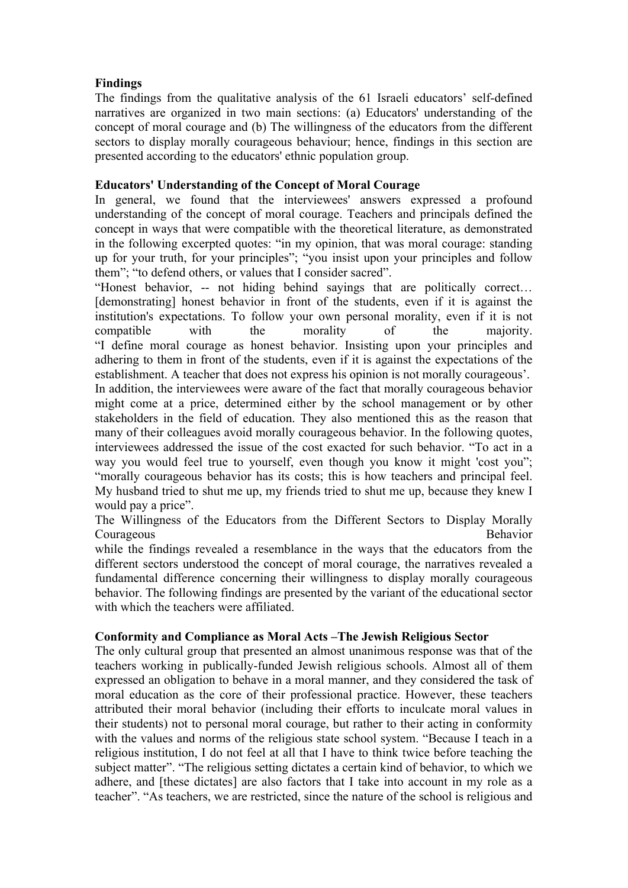# **Findings**

The findings from the qualitative analysis of the 61 Israeli educators' self-defined narratives are organized in two main sections: (a) Educators' understanding of the concept of moral courage and (b) The willingness of the educators from the different sectors to display morally courageous behaviour; hence, findings in this section are presented according to the educators' ethnic population group.

# **Educators' Understanding of the Concept of Moral Courage**

In general, we found that the interviewees' answers expressed a profound understanding of the concept of moral courage. Teachers and principals defined the concept in ways that were compatible with the theoretical literature, as demonstrated in the following excerpted quotes: "in my opinion, that was moral courage: standing up for your truth, for your principles"; "you insist upon your principles and follow them"; "to defend others, or values that I consider sacred".

"Honest behavior, -- not hiding behind sayings that are politically correct… [demonstrating] honest behavior in front of the students, even if it is against the institution's expectations. To follow your own personal morality, even if it is not compatible with the morality of the majority. "I define moral courage as honest behavior. Insisting upon your principles and adhering to them in front of the students, even if it is against the expectations of the establishment. A teacher that does not express his opinion is not morally courageous'.

In addition, the interviewees were aware of the fact that morally courageous behavior might come at a price, determined either by the school management or by other stakeholders in the field of education. They also mentioned this as the reason that many of their colleagues avoid morally courageous behavior. In the following quotes, interviewees addressed the issue of the cost exacted for such behavior. "To act in a way you would feel true to yourself, even though you know it might 'cost you"; "morally courageous behavior has its costs; this is how teachers and principal feel. My husband tried to shut me up, my friends tried to shut me up, because they knew I would pay a price".

The Willingness of the Educators from the Different Sectors to Display Morally Courageous Behavior

while the findings revealed a resemblance in the ways that the educators from the different sectors understood the concept of moral courage, the narratives revealed a fundamental difference concerning their willingness to display morally courageous behavior. The following findings are presented by the variant of the educational sector with which the teachers were affiliated.

### **Conformity and Compliance as Moral Acts –The Jewish Religious Sector**

The only cultural group that presented an almost unanimous response was that of the teachers working in publically-funded Jewish religious schools. Almost all of them expressed an obligation to behave in a moral manner, and they considered the task of moral education as the core of their professional practice. However, these teachers attributed their moral behavior (including their efforts to inculcate moral values in their students) not to personal moral courage, but rather to their acting in conformity with the values and norms of the religious state school system. "Because I teach in a religious institution, I do not feel at all that I have to think twice before teaching the subject matter". "The religious setting dictates a certain kind of behavior, to which we adhere, and [these dictates] are also factors that I take into account in my role as a teacher". "As teachers, we are restricted, since the nature of the school is religious and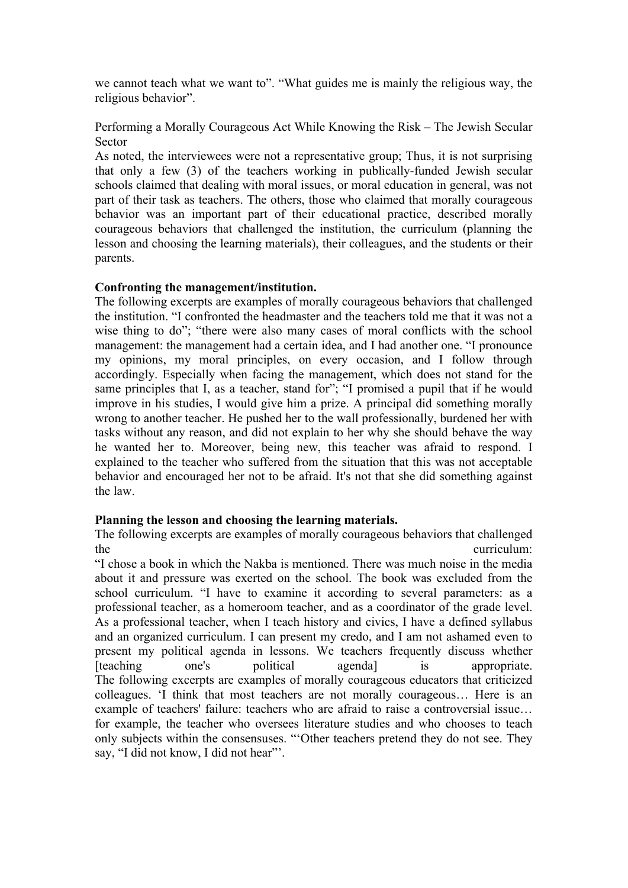we cannot teach what we want to". "What guides me is mainly the religious way, the religious behavior".

Performing a Morally Courageous Act While Knowing the Risk – The Jewish Secular Sector

As noted, the interviewees were not a representative group; Thus, it is not surprising that only a few (3) of the teachers working in publically-funded Jewish secular schools claimed that dealing with moral issues, or moral education in general, was not part of their task as teachers. The others, those who claimed that morally courageous behavior was an important part of their educational practice, described morally courageous behaviors that challenged the institution, the curriculum (planning the lesson and choosing the learning materials), their colleagues, and the students or their parents.

# **Confronting the management/institution.**

The following excerpts are examples of morally courageous behaviors that challenged the institution. "I confronted the headmaster and the teachers told me that it was not a wise thing to do"; "there were also many cases of moral conflicts with the school management: the management had a certain idea, and I had another one. "I pronounce my opinions, my moral principles, on every occasion, and I follow through accordingly. Especially when facing the management, which does not stand for the same principles that I, as a teacher, stand for"; "I promised a pupil that if he would improve in his studies, I would give him a prize. A principal did something morally wrong to another teacher. He pushed her to the wall professionally, burdened her with tasks without any reason, and did not explain to her why she should behave the way he wanted her to. Moreover, being new, this teacher was afraid to respond. I explained to the teacher who suffered from the situation that this was not acceptable behavior and encouraged her not to be afraid. It's not that she did something against the law.

### **Planning the lesson and choosing the learning materials.**

The following excerpts are examples of morally courageous behaviors that challenged the curriculum:

"I chose a book in which the Nakba is mentioned. There was much noise in the media about it and pressure was exerted on the school. The book was excluded from the school curriculum. "I have to examine it according to several parameters: as a professional teacher, as a homeroom teacher, and as a coordinator of the grade level. As a professional teacher, when I teach history and civics, I have a defined syllabus and an organized curriculum. I can present my credo, and I am not ashamed even to present my political agenda in lessons. We teachers frequently discuss whether [teaching one's political agenda] is appropriate. The following excerpts are examples of morally courageous educators that criticized colleagues. 'I think that most teachers are not morally courageous… Here is an example of teachers' failure: teachers who are afraid to raise a controversial issue… for example, the teacher who oversees literature studies and who chooses to teach only subjects within the consensuses. "'Other teachers pretend they do not see. They say, "I did not know, I did not hear"'.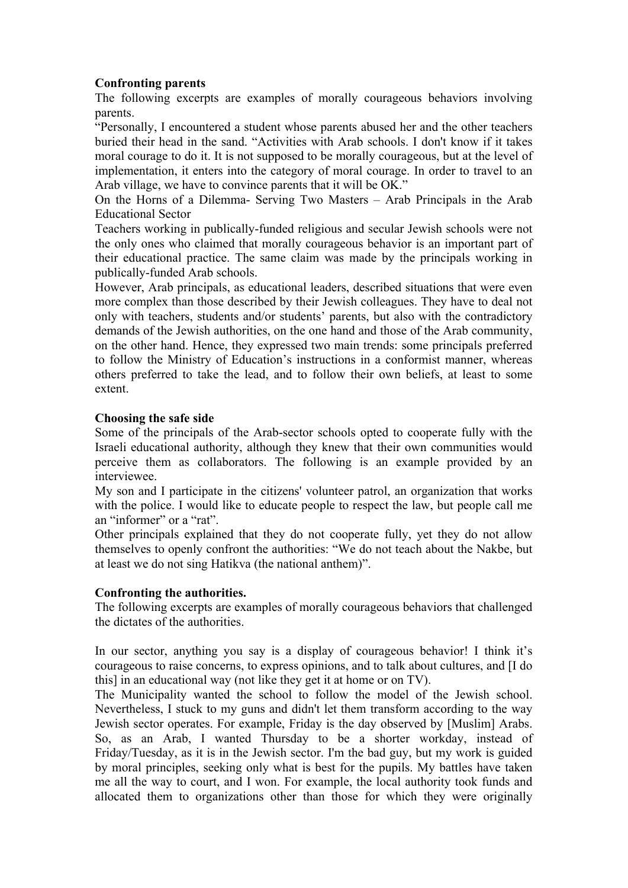# **Confronting parents**

The following excerpts are examples of morally courageous behaviors involving parents.

"Personally, I encountered a student whose parents abused her and the other teachers buried their head in the sand. "Activities with Arab schools. I don't know if it takes moral courage to do it. It is not supposed to be morally courageous, but at the level of implementation, it enters into the category of moral courage. In order to travel to an Arab village, we have to convince parents that it will be OK."

On the Horns of a Dilemma- Serving Two Masters – Arab Principals in the Arab Educational Sector

Teachers working in publically-funded religious and secular Jewish schools were not the only ones who claimed that morally courageous behavior is an important part of their educational practice. The same claim was made by the principals working in publically-funded Arab schools.

However, Arab principals, as educational leaders, described situations that were even more complex than those described by their Jewish colleagues. They have to deal not only with teachers, students and/or students' parents, but also with the contradictory demands of the Jewish authorities, on the one hand and those of the Arab community, on the other hand. Hence, they expressed two main trends: some principals preferred to follow the Ministry of Education's instructions in a conformist manner, whereas others preferred to take the lead, and to follow their own beliefs, at least to some extent.

### **Choosing the safe side**

Some of the principals of the Arab-sector schools opted to cooperate fully with the Israeli educational authority, although they knew that their own communities would perceive them as collaborators. The following is an example provided by an interviewee.

My son and I participate in the citizens' volunteer patrol, an organization that works with the police. I would like to educate people to respect the law, but people call me an "informer" or a "rat".

Other principals explained that they do not cooperate fully, yet they do not allow themselves to openly confront the authorities: "We do not teach about the Nakbe, but at least we do not sing Hatikva (the national anthem)".

### **Confronting the authorities.**

The following excerpts are examples of morally courageous behaviors that challenged the dictates of the authorities.

In our sector, anything you say is a display of courageous behavior! I think it's courageous to raise concerns, to express opinions, and to talk about cultures, and [I do this] in an educational way (not like they get it at home or on TV).

The Municipality wanted the school to follow the model of the Jewish school. Nevertheless, I stuck to my guns and didn't let them transform according to the way Jewish sector operates. For example, Friday is the day observed by [Muslim] Arabs. So, as an Arab, I wanted Thursday to be a shorter workday, instead of Friday/Tuesday, as it is in the Jewish sector. I'm the bad guy, but my work is guided by moral principles, seeking only what is best for the pupils. My battles have taken me all the way to court, and I won. For example, the local authority took funds and allocated them to organizations other than those for which they were originally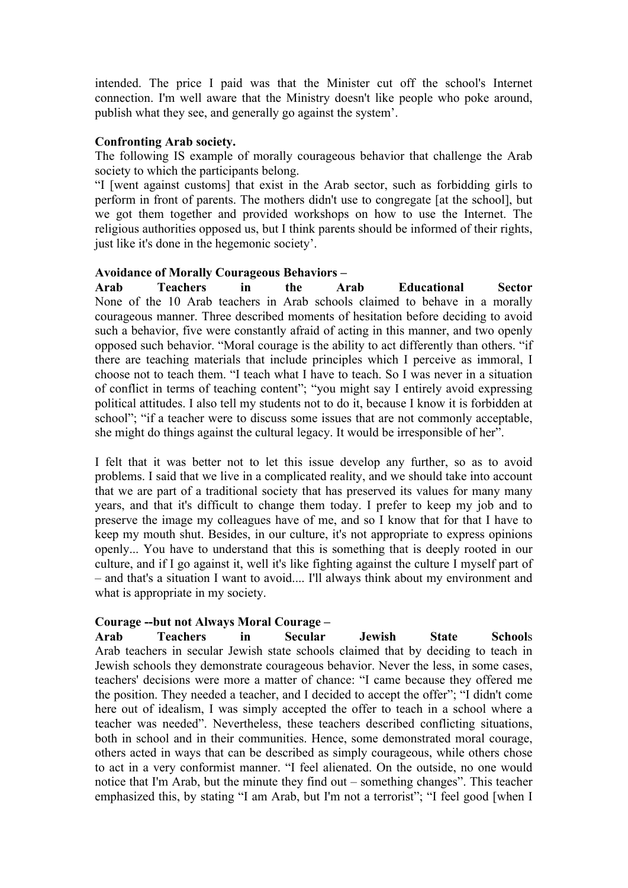intended. The price I paid was that the Minister cut off the school's Internet connection. I'm well aware that the Ministry doesn't like people who poke around, publish what they see, and generally go against the system'.

#### **Confronting Arab society.**

The following IS example of morally courageous behavior that challenge the Arab society to which the participants belong.

"I [went against customs] that exist in the Arab sector, such as forbidding girls to perform in front of parents. The mothers didn't use to congregate [at the school], but we got them together and provided workshops on how to use the Internet. The religious authorities opposed us, but I think parents should be informed of their rights, just like it's done in the hegemonic society'.

### **Avoidance of Morally Courageous Behaviors –**

**Arab Teachers in the Arab Educational Sector** None of the 10 Arab teachers in Arab schools claimed to behave in a morally courageous manner. Three described moments of hesitation before deciding to avoid such a behavior, five were constantly afraid of acting in this manner, and two openly opposed such behavior. "Moral courage is the ability to act differently than others. "if there are teaching materials that include principles which I perceive as immoral, I choose not to teach them. "I teach what I have to teach. So I was never in a situation of conflict in terms of teaching content"; "you might say I entirely avoid expressing political attitudes. I also tell my students not to do it, because I know it is forbidden at school"; "if a teacher were to discuss some issues that are not commonly acceptable, she might do things against the cultural legacy. It would be irresponsible of her".

I felt that it was better not to let this issue develop any further, so as to avoid problems. I said that we live in a complicated reality, and we should take into account that we are part of a traditional society that has preserved its values for many many years, and that it's difficult to change them today. I prefer to keep my job and to preserve the image my colleagues have of me, and so I know that for that I have to keep my mouth shut. Besides, in our culture, it's not appropriate to express opinions openly... You have to understand that this is something that is deeply rooted in our culture, and if I go against it, well it's like fighting against the culture I myself part of – and that's a situation I want to avoid.... I'll always think about my environment and what is appropriate in my society.

### **Courage --but not Always Moral Courage –**

**Arab Teachers in Secular Jewish State School**s Arab teachers in secular Jewish state schools claimed that by deciding to teach in Jewish schools they demonstrate courageous behavior. Never the less, in some cases, teachers' decisions were more a matter of chance: "I came because they offered me the position. They needed a teacher, and I decided to accept the offer"; "I didn't come here out of idealism, I was simply accepted the offer to teach in a school where a teacher was needed". Nevertheless, these teachers described conflicting situations, both in school and in their communities. Hence, some demonstrated moral courage, others acted in ways that can be described as simply courageous, while others chose to act in a very conformist manner. "I feel alienated. On the outside, no one would notice that I'm Arab, but the minute they find out – something changes". This teacher emphasized this, by stating "I am Arab, but I'm not a terrorist"; "I feel good [when I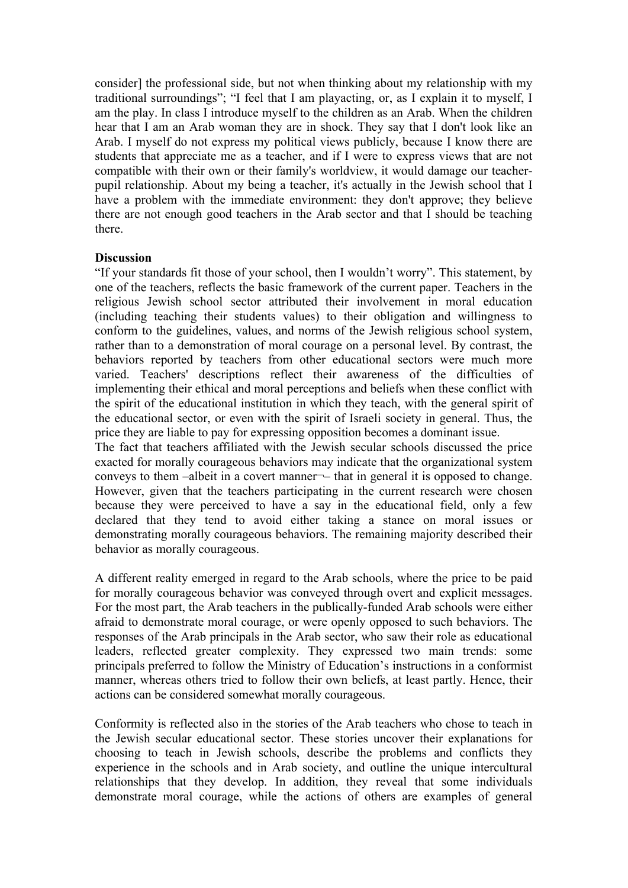consider] the professional side, but not when thinking about my relationship with my traditional surroundings"; "I feel that I am playacting, or, as I explain it to myself, I am the play. In class I introduce myself to the children as an Arab. When the children hear that I am an Arab woman they are in shock. They say that I don't look like an Arab. I myself do not express my political views publicly, because I know there are students that appreciate me as a teacher, and if I were to express views that are not compatible with their own or their family's worldview, it would damage our teacherpupil relationship. About my being a teacher, it's actually in the Jewish school that I have a problem with the immediate environment: they don't approve; they believe there are not enough good teachers in the Arab sector and that I should be teaching there.

### **Discussion**

"If your standards fit those of your school, then I wouldn't worry". This statement, by one of the teachers, reflects the basic framework of the current paper. Teachers in the religious Jewish school sector attributed their involvement in moral education (including teaching their students values) to their obligation and willingness to conform to the guidelines, values, and norms of the Jewish religious school system, rather than to a demonstration of moral courage on a personal level. By contrast, the behaviors reported by teachers from other educational sectors were much more varied. Teachers' descriptions reflect their awareness of the difficulties of implementing their ethical and moral perceptions and beliefs when these conflict with the spirit of the educational institution in which they teach, with the general spirit of the educational sector, or even with the spirit of Israeli society in general. Thus, the price they are liable to pay for expressing opposition becomes a dominant issue.

The fact that teachers affiliated with the Jewish secular schools discussed the price exacted for morally courageous behaviors may indicate that the organizational system conveys to them –albeit in a covert manner-– that in general it is opposed to change. However, given that the teachers participating in the current research were chosen because they were perceived to have a say in the educational field, only a few declared that they tend to avoid either taking a stance on moral issues or demonstrating morally courageous behaviors. The remaining majority described their behavior as morally courageous.

A different reality emerged in regard to the Arab schools, where the price to be paid for morally courageous behavior was conveyed through overt and explicit messages. For the most part, the Arab teachers in the publically-funded Arab schools were either afraid to demonstrate moral courage, or were openly opposed to such behaviors. The responses of the Arab principals in the Arab sector, who saw their role as educational leaders, reflected greater complexity. They expressed two main trends: some principals preferred to follow the Ministry of Education's instructions in a conformist manner, whereas others tried to follow their own beliefs, at least partly. Hence, their actions can be considered somewhat morally courageous.

Conformity is reflected also in the stories of the Arab teachers who chose to teach in the Jewish secular educational sector. These stories uncover their explanations for choosing to teach in Jewish schools, describe the problems and conflicts they experience in the schools and in Arab society, and outline the unique intercultural relationships that they develop. In addition, they reveal that some individuals demonstrate moral courage, while the actions of others are examples of general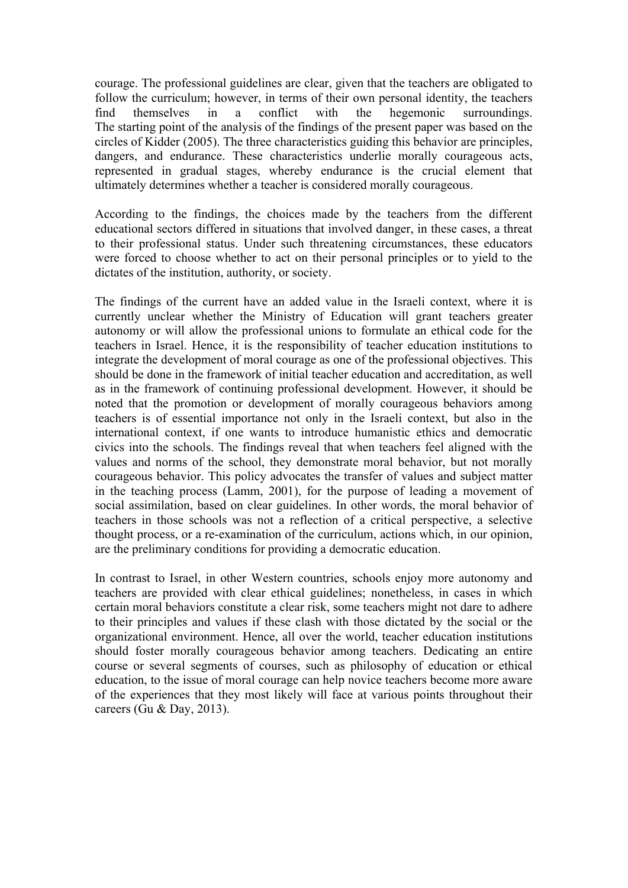courage. The professional guidelines are clear, given that the teachers are obligated to follow the curriculum; however, in terms of their own personal identity, the teachers find themselves in a conflict with the hegemonic surroundings. The starting point of the analysis of the findings of the present paper was based on the circles of Kidder (2005). The three characteristics guiding this behavior are principles, dangers, and endurance. These characteristics underlie morally courageous acts, represented in gradual stages, whereby endurance is the crucial element that ultimately determines whether a teacher is considered morally courageous.

According to the findings, the choices made by the teachers from the different educational sectors differed in situations that involved danger, in these cases, a threat to their professional status. Under such threatening circumstances, these educators were forced to choose whether to act on their personal principles or to yield to the dictates of the institution, authority, or society.

The findings of the current have an added value in the Israeli context, where it is currently unclear whether the Ministry of Education will grant teachers greater autonomy or will allow the professional unions to formulate an ethical code for the teachers in Israel. Hence, it is the responsibility of teacher education institutions to integrate the development of moral courage as one of the professional objectives. This should be done in the framework of initial teacher education and accreditation, as well as in the framework of continuing professional development. However, it should be noted that the promotion or development of morally courageous behaviors among teachers is of essential importance not only in the Israeli context, but also in the international context, if one wants to introduce humanistic ethics and democratic civics into the schools. The findings reveal that when teachers feel aligned with the values and norms of the school, they demonstrate moral behavior, but not morally courageous behavior. This policy advocates the transfer of values and subject matter in the teaching process (Lamm, 2001), for the purpose of leading a movement of social assimilation, based on clear guidelines. In other words, the moral behavior of teachers in those schools was not a reflection of a critical perspective, a selective thought process, or a re-examination of the curriculum, actions which, in our opinion, are the preliminary conditions for providing a democratic education.

In contrast to Israel, in other Western countries, schools enjoy more autonomy and teachers are provided with clear ethical guidelines; nonetheless, in cases in which certain moral behaviors constitute a clear risk, some teachers might not dare to adhere to their principles and values if these clash with those dictated by the social or the organizational environment. Hence, all over the world, teacher education institutions should foster morally courageous behavior among teachers. Dedicating an entire course or several segments of courses, such as philosophy of education or ethical education, to the issue of moral courage can help novice teachers become more aware of the experiences that they most likely will face at various points throughout their careers (Gu & Day, 2013).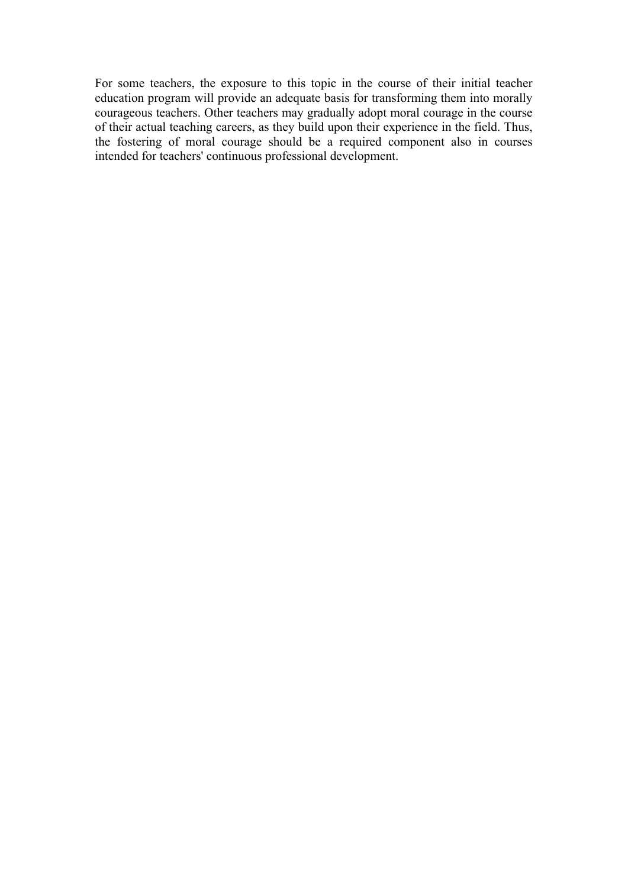For some teachers, the exposure to this topic in the course of their initial teacher education program will provide an adequate basis for transforming them into morally courageous teachers. Other teachers may gradually adopt moral courage in the course of their actual teaching careers, as they build upon their experience in the field. Thus, the fostering of moral courage should be a required component also in courses intended for teachers' continuous professional development.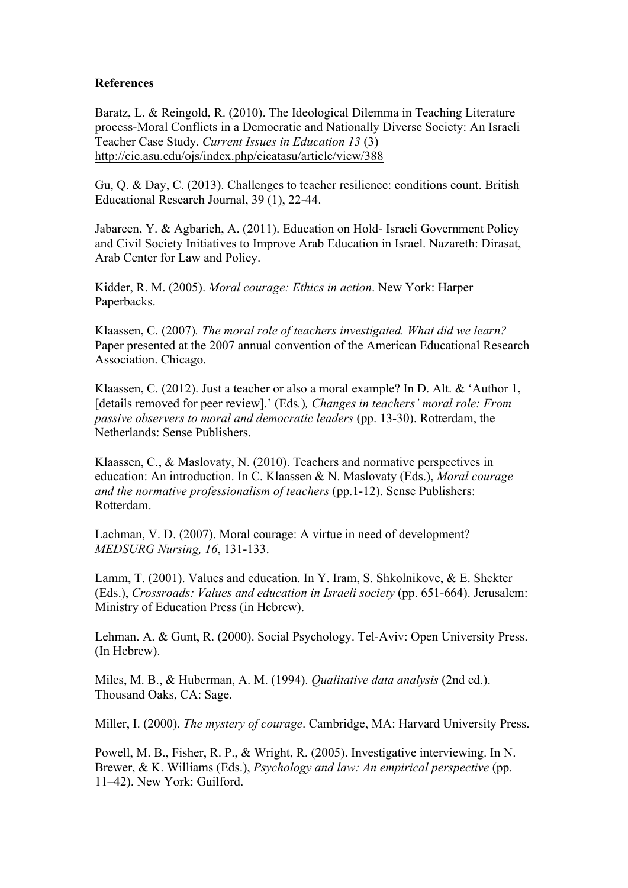### **References**

Baratz, L. & Reingold, R. (2010). The Ideological Dilemma in Teaching Literature process-Moral Conflicts in a Democratic and Nationally Diverse Society: An Israeli Teacher Case Study. *Current Issues in Education 13* (3) http://cie.asu.edu/ojs/index.php/cieatasu/article/view/388

Gu, Q. & Day, C. (2013). Challenges to teacher resilience: conditions count. British Educational Research Journal, 39 (1), 22-44.

Jabareen, Y. & Agbarieh, A. (2011). Education on Hold- Israeli Government Policy and Civil Society Initiatives to Improve Arab Education in Israel. Nazareth: Dirasat, Arab Center for Law and Policy.

Kidder, R. M. (2005). *Moral courage: Ethics in action*. New York: Harper Paperbacks.

Klaassen, C. (2007)*. The moral role of teachers investigated. What did we learn?* Paper presented at the 2007 annual convention of the American Educational Research Association. Chicago.

Klaassen, C. (2012). Just a teacher or also a moral example? In D. Alt. & 'Author 1, [details removed for peer review].' (Eds*.*)*, Changes in teachers' moral role: From passive observers to moral and democratic leaders* (pp. 13-30). Rotterdam, the Netherlands: Sense Publishers.

Klaassen, C., & Maslovaty, N. (2010). Teachers and normative perspectives in education: An introduction. In C. Klaassen & N. Maslovaty (Eds.), *Moral courage and the normative professionalism of teachers* (pp.1-12). Sense Publishers: Rotterdam.

Lachman, V. D. (2007). Moral courage: A virtue in need of development? *MEDSURG Nursing, 16*, 131-133.

Lamm, T. (2001). Values and education. In Y. Iram, S. Shkolnikove, & E. Shekter (Eds.), *Crossroads: Values and education in Israeli society* (pp. 651-664). Jerusalem: Ministry of Education Press (in Hebrew).

Lehman. A. & Gunt, R. (2000). Social Psychology. Tel-Aviv: Open University Press. (In Hebrew).

Miles, M. B., & Huberman, A. M. (1994). *Qualitative data analysis* (2nd ed.). Thousand Oaks, CA: Sage.

Miller, I. (2000). *The mystery of courage*. Cambridge, MA: Harvard University Press.

Powell, M. B., Fisher, R. P., & Wright, R. (2005). Investigative interviewing. In N. Brewer, & K. Williams (Eds.), *Psychology and law: An empirical perspective* (pp. 11–42). New York: Guilford.